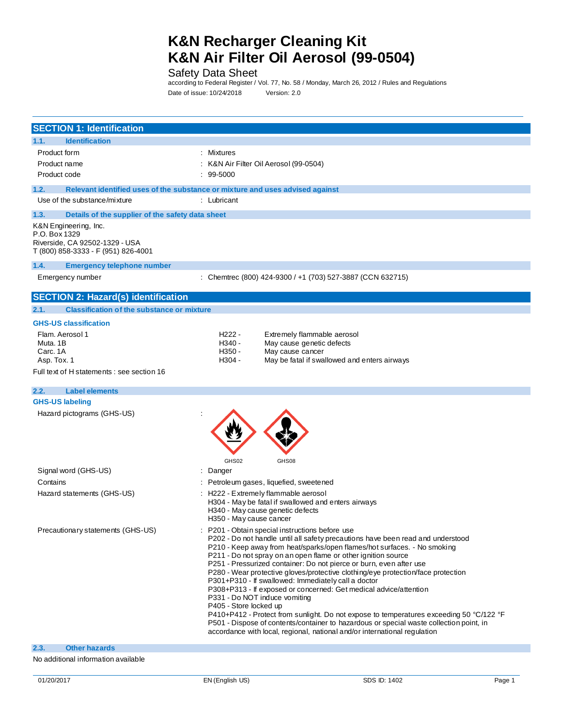Safety Data Sheet

according to Federal Register / Vol. 77, No. 58 / Monday, March 26, 2012 / Rules and Regulations Date of issue: 10/24/2018 Version: 2.0

| <b>SECTION 1: Identification</b>                                                                                |                                                                                                                                                                                                                                                                                                                                                                                                                                                                                                                                                                                                                                                                                                                                                                                                                                                                                                    |
|-----------------------------------------------------------------------------------------------------------------|----------------------------------------------------------------------------------------------------------------------------------------------------------------------------------------------------------------------------------------------------------------------------------------------------------------------------------------------------------------------------------------------------------------------------------------------------------------------------------------------------------------------------------------------------------------------------------------------------------------------------------------------------------------------------------------------------------------------------------------------------------------------------------------------------------------------------------------------------------------------------------------------------|
| 1.1.<br><b>Identification</b>                                                                                   |                                                                                                                                                                                                                                                                                                                                                                                                                                                                                                                                                                                                                                                                                                                                                                                                                                                                                                    |
| Product form                                                                                                    | : Mixtures                                                                                                                                                                                                                                                                                                                                                                                                                                                                                                                                                                                                                                                                                                                                                                                                                                                                                         |
| Product name                                                                                                    | K&N Air Filter Oil Aerosol (99-0504)                                                                                                                                                                                                                                                                                                                                                                                                                                                                                                                                                                                                                                                                                                                                                                                                                                                               |
| Product code                                                                                                    | 99-5000                                                                                                                                                                                                                                                                                                                                                                                                                                                                                                                                                                                                                                                                                                                                                                                                                                                                                            |
| 1.2.                                                                                                            | Relevant identified uses of the substance or mixture and uses advised against                                                                                                                                                                                                                                                                                                                                                                                                                                                                                                                                                                                                                                                                                                                                                                                                                      |
| Use of the substance/mixture                                                                                    | : Lubricant                                                                                                                                                                                                                                                                                                                                                                                                                                                                                                                                                                                                                                                                                                                                                                                                                                                                                        |
| 1.3.<br>Details of the supplier of the safety data sheet                                                        |                                                                                                                                                                                                                                                                                                                                                                                                                                                                                                                                                                                                                                                                                                                                                                                                                                                                                                    |
| K&N Engineering, Inc.<br>P.O. Box 1329<br>Riverside, CA 92502-1329 - USA<br>T (800) 858-3333 - F (951) 826-4001 |                                                                                                                                                                                                                                                                                                                                                                                                                                                                                                                                                                                                                                                                                                                                                                                                                                                                                                    |
| 1.4.<br><b>Emergency telephone number</b>                                                                       |                                                                                                                                                                                                                                                                                                                                                                                                                                                                                                                                                                                                                                                                                                                                                                                                                                                                                                    |
| Emergency number                                                                                                | : Chemtrec (800) 424-9300 / +1 (703) 527-3887 (CCN 632715)                                                                                                                                                                                                                                                                                                                                                                                                                                                                                                                                                                                                                                                                                                                                                                                                                                         |
| <b>SECTION 2: Hazard(s) identification</b>                                                                      |                                                                                                                                                                                                                                                                                                                                                                                                                                                                                                                                                                                                                                                                                                                                                                                                                                                                                                    |
| <b>Classification of the substance or mixture</b><br>2.1.                                                       |                                                                                                                                                                                                                                                                                                                                                                                                                                                                                                                                                                                                                                                                                                                                                                                                                                                                                                    |
| <b>GHS-US classification</b>                                                                                    |                                                                                                                                                                                                                                                                                                                                                                                                                                                                                                                                                                                                                                                                                                                                                                                                                                                                                                    |
| Flam. Aerosol 1                                                                                                 | H <sub>222</sub> -<br>Extremely flammable aerosol                                                                                                                                                                                                                                                                                                                                                                                                                                                                                                                                                                                                                                                                                                                                                                                                                                                  |
| Muta, 1B                                                                                                        | $H340 -$<br>May cause genetic defects                                                                                                                                                                                                                                                                                                                                                                                                                                                                                                                                                                                                                                                                                                                                                                                                                                                              |
| Carc. 1A<br>Asp. Tox. 1                                                                                         | May cause cancer<br>H350 -<br>H <sub>304</sub> -<br>May be fatal if swallowed and enters airways                                                                                                                                                                                                                                                                                                                                                                                                                                                                                                                                                                                                                                                                                                                                                                                                   |
| Full text of H statements : see section 16                                                                      |                                                                                                                                                                                                                                                                                                                                                                                                                                                                                                                                                                                                                                                                                                                                                                                                                                                                                                    |
|                                                                                                                 |                                                                                                                                                                                                                                                                                                                                                                                                                                                                                                                                                                                                                                                                                                                                                                                                                                                                                                    |
| <b>Label elements</b><br>2.2.                                                                                   |                                                                                                                                                                                                                                                                                                                                                                                                                                                                                                                                                                                                                                                                                                                                                                                                                                                                                                    |
| <b>GHS-US labeling</b>                                                                                          |                                                                                                                                                                                                                                                                                                                                                                                                                                                                                                                                                                                                                                                                                                                                                                                                                                                                                                    |
| Hazard pictograms (GHS-US)                                                                                      | GHS02<br>GHS08                                                                                                                                                                                                                                                                                                                                                                                                                                                                                                                                                                                                                                                                                                                                                                                                                                                                                     |
| Signal word (GHS-US)                                                                                            | Danger<br>÷                                                                                                                                                                                                                                                                                                                                                                                                                                                                                                                                                                                                                                                                                                                                                                                                                                                                                        |
| Contains                                                                                                        | Petroleum gases, liquefied, sweetened                                                                                                                                                                                                                                                                                                                                                                                                                                                                                                                                                                                                                                                                                                                                                                                                                                                              |
| Hazard statements (GHS-US)                                                                                      | H222 - Extremely flammable aerosol<br>H304 - May be fatal if swallowed and enters airways<br>H340 - May cause genetic defects<br>H350 - May cause cancer                                                                                                                                                                                                                                                                                                                                                                                                                                                                                                                                                                                                                                                                                                                                           |
| Precautionary statements (GHS-US)                                                                               | P201 - Obtain special instructions before use<br>P202 - Do not handle until all safety precautions have been read and understood<br>P210 - Keep away from heat/sparks/open flames/hot surfaces. - No smoking<br>P211 - Do not spray on an open flame or other ignition source<br>P251 - Pressurized container: Do not pierce or burn, even after use<br>P280 - Wear protective gloves/protective clothing/eye protection/face protection<br>P301+P310 - If swallowed: Immediately call a doctor<br>P308+P313 - If exposed or concerned: Get medical advice/attention<br>P331 - Do NOT induce vomiting<br>P405 - Store locked up<br>P410+P412 - Protect from sunlight. Do not expose to temperatures exceeding 50 °C/122 °F<br>P501 - Dispose of contents/container to hazardous or special waste collection point, in<br>accordance with local, regional, national and/or international regulation |
| <b>Other hazards</b><br>2.3.                                                                                    |                                                                                                                                                                                                                                                                                                                                                                                                                                                                                                                                                                                                                                                                                                                                                                                                                                                                                                    |

#### No additional information available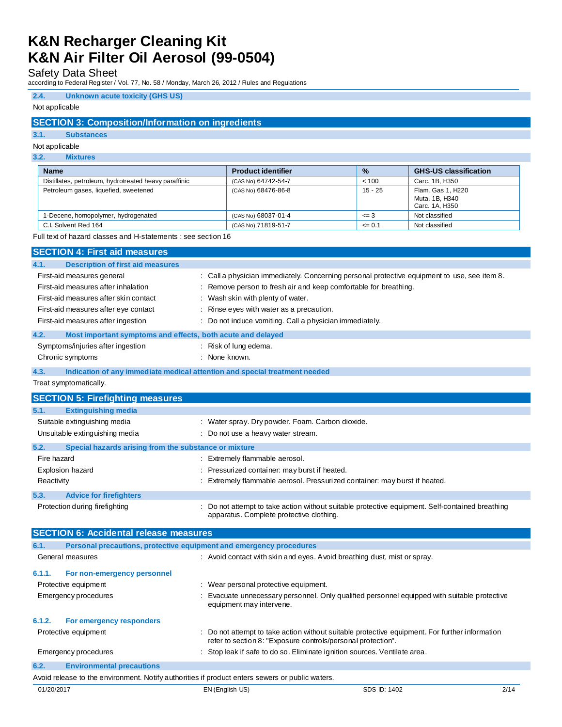Safety Data Sheet

according to Federal Register / Vol. 77, No. 58 / Monday, March 26, 2012 / Rules and Regulations

## **2.4. Unknown acute toxicity (GHS US)**

### Not applicable

## **SECTION 3: Composition/Information on ingredients**

## **3.1. Substances**

# Not applicable

## **3.2. Mixtures**

| <b>Name</b>                                           | <b>Product identifier</b> | $\frac{9}{6}$ | <b>GHS-US classification</b>                          |
|-------------------------------------------------------|---------------------------|---------------|-------------------------------------------------------|
| Distillates, petroleum, hydrotreated heavy paraffinic | (CAS No) 64742-54-7       | < 100         | Carc. 1B. H350                                        |
| Petroleum gases, liquefied, sweetened                 | (CAS No) 68476-86-8       | $15 - 25$     | Flam. Gas 1, H220<br>Muta, 1B, H340<br>Carc. 1A, H350 |
| 1-Decene, homopolymer, hydrogenated                   | (CAS No) 68037-01-4       | $\leq$ 3      | Not classified                                        |
| C.I. Solvent Red 164                                  | (CAS No) 71819-51-7       | $\leq 0.1$    | Not classified                                        |

Full text of hazard classes and H-statements : see section 16

| <b>SECTION 4: First aid measures</b>                                                                                                                                                     |                                                                            |                                                                                                                                                                                                                                                                   |
|------------------------------------------------------------------------------------------------------------------------------------------------------------------------------------------|----------------------------------------------------------------------------|-------------------------------------------------------------------------------------------------------------------------------------------------------------------------------------------------------------------------------------------------------------------|
| 4.1.                                                                                                                                                                                     | <b>Description of first aid measures</b>                                   |                                                                                                                                                                                                                                                                   |
| First-aid measures general<br>First-aid measures after inhalation<br>First-aid measures after skin contact<br>First-aid measures after eye contact<br>First-aid measures after ingestion | Wash skin with plenty of water.                                            | : Call a physician immediately. Concerning personal protective equipment to use, see item 8.<br>Remove person to fresh air and keep comfortable for breathing.<br>Rinse eyes with water as a precaution.<br>Do not induce vomiting. Call a physician immediately. |
| 4.2.                                                                                                                                                                                     | Most important symptoms and effects, both acute and delayed                |                                                                                                                                                                                                                                                                   |
| Symptoms/injuries after ingestion<br>Chronic symptoms                                                                                                                                    | : Risk of lung edema.<br>: None known.                                     |                                                                                                                                                                                                                                                                   |
| 4.3.                                                                                                                                                                                     | Indication of any immediate medical attention and special treatment needed |                                                                                                                                                                                                                                                                   |
| Treat symptomatically.                                                                                                                                                                   |                                                                            |                                                                                                                                                                                                                                                                   |
| <b>SECTION 5: Firefighting measures</b>                                                                                                                                                  |                                                                            |                                                                                                                                                                                                                                                                   |
| <b>Extinguishing media</b><br>5.1.                                                                                                                                                       |                                                                            |                                                                                                                                                                                                                                                                   |
| Suitable extinguishing media                                                                                                                                                             |                                                                            | : Water spray. Dry powder. Foam. Carbon dioxide.                                                                                                                                                                                                                  |
| Unsuitable extinguishing media                                                                                                                                                           |                                                                            | Do not use a heavy water stream.                                                                                                                                                                                                                                  |
| 5.2.                                                                                                                                                                                     | Special hazards arising from the substance or mixture                      |                                                                                                                                                                                                                                                                   |
| Fire hazard                                                                                                                                                                              | : Extremely flammable aerosol.                                             |                                                                                                                                                                                                                                                                   |
| Explosion hazard                                                                                                                                                                         |                                                                            | Pressurized container: may burst if heated.                                                                                                                                                                                                                       |
| Reactivity                                                                                                                                                                               |                                                                            | Extremely flammable aerosol. Pressurized container: may burst if heated.                                                                                                                                                                                          |
| 5.3.<br><b>Advice for firefighters</b>                                                                                                                                                   |                                                                            |                                                                                                                                                                                                                                                                   |
| Protection during firefighting                                                                                                                                                           |                                                                            | Do not attempt to take action without suitable protective equipment. Self-contained breathing<br>apparatus. Complete protective clothing.                                                                                                                         |
|                                                                                                                                                                                          | <b>SECTION 6: Accidental release measures</b>                              |                                                                                                                                                                                                                                                                   |
| 6.1.                                                                                                                                                                                     | Personal precautions, protective equipment and emergency procedures        |                                                                                                                                                                                                                                                                   |
| General measures                                                                                                                                                                         |                                                                            | : Avoid contact with skin and eyes. Avoid breathing dust, mist or spray.                                                                                                                                                                                          |
| 6.1.1.<br>For non-emergency personnel<br>Protective equipment<br>Emergency procedures                                                                                                    | equipment may intervene.                                                   | : Wear personal protective equipment.<br>Evacuate unnecessary personnel. Only qualified personnel equipped with suitable protective                                                                                                                               |
| 6.1.2.<br>For emergency responders                                                                                                                                                       |                                                                            |                                                                                                                                                                                                                                                                   |
| Protective equipment                                                                                                                                                                     |                                                                            | Do not attempt to take action without suitable protective equipment. For further information<br>refer to section 8: "Exposure controls/personal protection".                                                                                                      |
| Emergency procedures                                                                                                                                                                     |                                                                            | Stop leak if safe to do so. Eliminate ignition sources. Ventilate area.                                                                                                                                                                                           |
| 6.2.<br><b>Environmental precautions</b>                                                                                                                                                 |                                                                            |                                                                                                                                                                                                                                                                   |

Avoid release to the environment. Notify authorities if product enters sewers or public waters.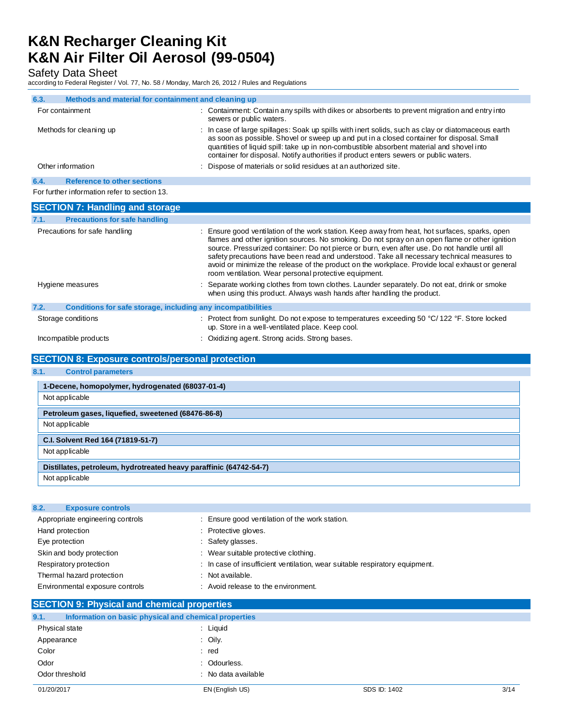Safety Data Sheet

according to Federal Register / Vol. 77, No. 58 / Monday, March 26, 2012 / Rules and Regulations

| 6.3. | Methods and material for containment and cleaning up         |                                                                                                                                                                                                                                                                                                                                                                                                                                                                                                                                                           |
|------|--------------------------------------------------------------|-----------------------------------------------------------------------------------------------------------------------------------------------------------------------------------------------------------------------------------------------------------------------------------------------------------------------------------------------------------------------------------------------------------------------------------------------------------------------------------------------------------------------------------------------------------|
|      | For containment                                              | : Containment: Contain any spills with dikes or absorbents to prevent migration and entry into<br>sewers or public waters.                                                                                                                                                                                                                                                                                                                                                                                                                                |
|      | Methods for cleaning up                                      | : In case of large spillages: Soak up spills with inert solids, such as clay or diatomaceous earth<br>as soon as possible. Shovel or sweep up and put in a closed container for disposal. Small<br>quantities of liquid spill: take up in non-combustible absorbent material and shovel into<br>container for disposal. Notify authorities if product enters sewers or public waters.                                                                                                                                                                     |
|      | Other information                                            | Dispose of materials or solid residues at an authorized site.                                                                                                                                                                                                                                                                                                                                                                                                                                                                                             |
| 6.4. | <b>Reference to other sections</b>                           |                                                                                                                                                                                                                                                                                                                                                                                                                                                                                                                                                           |
|      | For further information refer to section 13.                 |                                                                                                                                                                                                                                                                                                                                                                                                                                                                                                                                                           |
|      | <b>SECTION 7: Handling and storage</b>                       |                                                                                                                                                                                                                                                                                                                                                                                                                                                                                                                                                           |
| 7.1. | <b>Precautions for safe handling</b>                         |                                                                                                                                                                                                                                                                                                                                                                                                                                                                                                                                                           |
|      | Precautions for safe handling                                | Ensure good ventilation of the work station. Keep away from heat, hot surfaces, sparks, open<br>flames and other ignition sources. No smoking. Do not spray on an open flame or other ignition<br>source. Pressurized container: Do not pierce or burn, even after use. Do not handle until all<br>safety precautions have been read and understood. Take all necessary technical measures to<br>avoid or minimize the release of the product on the workplace. Provide local exhaust or general<br>room ventilation. Wear personal protective equipment. |
|      | Hygiene measures                                             | Separate working clothes from town clothes. Launder separately. Do not eat, drink or smoke<br>when using this product. Always wash hands after handling the product.                                                                                                                                                                                                                                                                                                                                                                                      |
| 7.2. | Conditions for safe storage, including any incompatibilities |                                                                                                                                                                                                                                                                                                                                                                                                                                                                                                                                                           |
|      | Storage conditions                                           | : Protect from sunlight. Do not expose to temperatures exceeding 50 $\degree$ C/122 $\degree$ F. Store locked<br>up. Store in a well-ventilated place. Keep cool.                                                                                                                                                                                                                                                                                                                                                                                         |
|      | Incompatible products                                        | Oxidizing agent. Strong acids. Strong bases.                                                                                                                                                                                                                                                                                                                                                                                                                                                                                                              |

# **SECTION 8: Exposure controls/personal protection**

## **8.1. Control parameters**

| 1-Decene, homopolymer, hydrogenated (68037-01-4)                   |  |
|--------------------------------------------------------------------|--|
| Not applicable                                                     |  |
| Petroleum gases, liquefied, sweetened (68476-86-8)                 |  |
| Not applicable                                                     |  |
| C.I. Solvent Red 164 (71819-51-7)                                  |  |
| Not applicable                                                     |  |
| Distillates, petroleum, hydrotreated heavy paraffinic (64742-54-7) |  |
| Not applicable                                                     |  |

| 8.2.<br><b>Exposure controls</b> |                                                                             |
|----------------------------------|-----------------------------------------------------------------------------|
| Appropriate engineering controls | Ensure good ventilation of the work station.                                |
| Hand protection                  | Protective gloves.                                                          |
| Eye protection                   | Safety glasses.                                                             |
| Skin and body protection         | : Wear suitable protective clothing.                                        |
| Respiratory protection           | : In case of insufficient ventilation, wear suitable respiratory equipment. |
| Thermal hazard protection        | $:$ Not available.                                                          |
| Environmental exposure controls  | Avoid release to the environment.                                           |
|                                  |                                                                             |

| <b>SECTION 9: Physical and chemical properties</b> |                                                       |                     |
|----------------------------------------------------|-------------------------------------------------------|---------------------|
| 9.1.                                               | Information on basic physical and chemical properties |                     |
|                                                    | Physical state                                        | : Liquid            |
| Appearance                                         |                                                       | $\therefore$ Oily.  |
| Color                                              |                                                       | : red               |
| Odor                                               |                                                       | : Odourless.        |
|                                                    | Odor threshold                                        | : No data available |
|                                                    |                                                       |                     |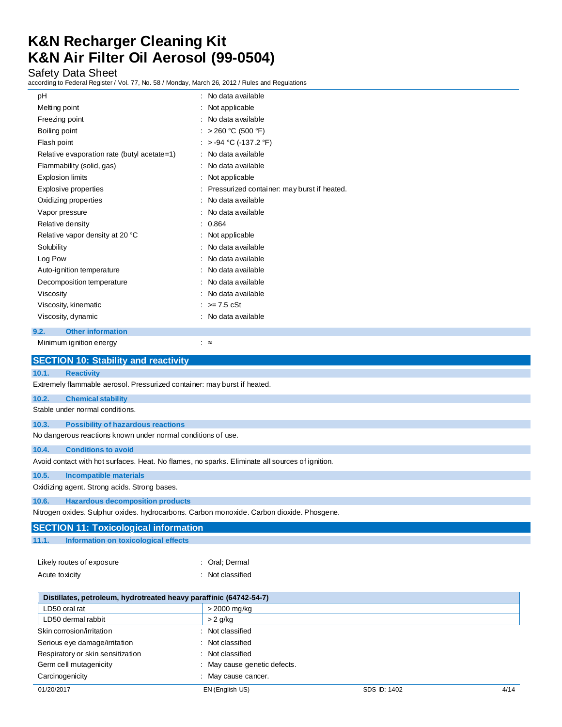# Safety Data Sheet

according to Federal Register / Vol. 77, No. 58 / Monday, March 26, 2012 / Rules and Regulations

| pH                                                                       | No data available                           |  |
|--------------------------------------------------------------------------|---------------------------------------------|--|
| Melting point                                                            | Not applicable                              |  |
| Freezing point                                                           | No data available                           |  |
| Boiling point                                                            | $> 260 °C$ (500 °F)                         |  |
| Flash point                                                              | $> -94$ °C (-137.2 °F)                      |  |
| Relative evaporation rate (butyl acetate=1)                              | No data available                           |  |
| Flammability (solid, gas)                                                | No data available                           |  |
| <b>Explosion limits</b>                                                  | Not applicable                              |  |
| Explosive properties                                                     | Pressurized container: may burst if heated. |  |
| Oxidizing properties                                                     | No data available                           |  |
| Vapor pressure                                                           | No data available                           |  |
| Relative density                                                         | 0.864                                       |  |
| Relative vapor density at 20 °C                                          | Not applicable                              |  |
| Solubility                                                               | No data available                           |  |
| Log Pow                                                                  | No data available                           |  |
| Auto-ignition temperature                                                | No data available                           |  |
| Decomposition temperature                                                | No data available                           |  |
| Viscosity                                                                | No data available                           |  |
| Viscosity, kinematic                                                     | $>= 7.5 \text{ cSt}$                        |  |
| Viscosity, dynamic                                                       | : No data available                         |  |
| 9.2.<br><b>Other information</b>                                         |                                             |  |
| Minimum ignition energy                                                  | ∶≈                                          |  |
| <b>SECTION 10: Stability and reactivity</b>                              |                                             |  |
| 10.1.<br><b>Reactivity</b>                                               |                                             |  |
| Extremely flammable aerosol. Pressurized container: may burst if heated. |                                             |  |
| 10.2.<br><b>Chemical stability</b>                                       |                                             |  |
| Stable under normal conditions.                                          |                                             |  |
|                                                                          |                                             |  |
| <b>Possibility of hazardous reactions</b><br>10.3.                       |                                             |  |
| No dangerous reactions known under normal conditions of use.             |                                             |  |

# **10.4. Conditions to avoid**

Avoid contact with hot surfaces. Heat. No flames, no sparks. Eliminate all sources of ignition.

#### **10.5. Incompatible materials**

Oxidizing agent. Strong acids. Strong bases.

### **10.6. Hazardous decomposition products**

Nitrogen oxides. Sulphur oxides. hydrocarbons. Carbon monoxide. Carbon dioxide. Phosgene.

|       | <b>SECTION 11: Toxicological information</b> |  |  |
|-------|----------------------------------------------|--|--|
| 11.1. | Information on toxicological effects         |  |  |

| Likely routes of exposure | : Oral: Dermal   |
|---------------------------|------------------|
| Acute toxicity            | : Not classified |

| Distillates, petroleum, hydrotreated heavy paraffinic (64742-54-7) |                              |              |      |
|--------------------------------------------------------------------|------------------------------|--------------|------|
| LD50 oral rat                                                      | > 2000 mg/kg                 |              |      |
| LD50 dermal rabbit                                                 | $> 2$ g/kg                   |              |      |
| Skin corrosion/irritation                                          | : Not classified             |              |      |
| Serious eye damage/irritation                                      | Not classified               |              |      |
| Respiratory or skin sensitization                                  | : Not classified             |              |      |
| Germ cell mutagenicity                                             | : May cause genetic defects. |              |      |
| Carcinogenicity                                                    | : May cause cancer.          |              |      |
| 01/20/2017                                                         | EN (English US)              | SDS ID: 1402 | 4/14 |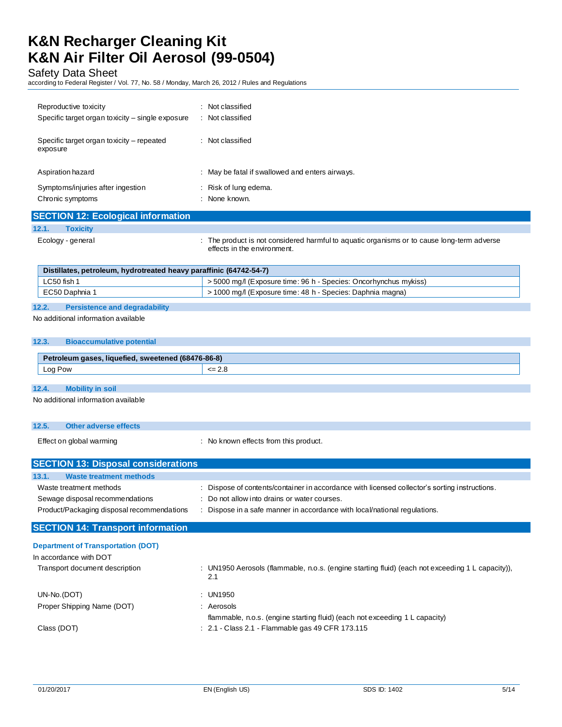Safety Data Sheet

according to Federal Register / Vol. 77, No. 58 / Monday, March 26, 2012 / Rules and Regulations

| Reproductive toxicity<br>Specific target organ toxicity – single exposure | Not classified<br>$\cdot$<br>Not classified<br>÷ |
|---------------------------------------------------------------------------|--------------------------------------------------|
| Specific target organ toxicity – repeated<br>exposure                     | Not classified<br>÷                              |
| Aspiration hazard                                                         | : May be fatal if swallowed and enters airways.  |
| Symptoms/injuries after ingestion<br>Chronic symptoms                     | : Risk of lung edema.<br>None known.<br>$\cdot$  |

# **SECTION 12: Ecological information**

**12.1. Toxicity**

Ecology - general **interproduct is not considered harmful to aquatic organisms or to cause long-term adverse** effects in the environment.

# **Distillates, petroleum, hydrotreated heavy paraffinic (64742-54-7)**

| LC50 fish 1  | >5000 mg/l (Exposure time: 96 h - Species: Oncorhynchus mykiss) |
|--------------|-----------------------------------------------------------------|
| EC50 Daphnia | 1000 mg/l (Exposure time: 48 h - Species: Daphnia magna)        |
|              |                                                                 |

### **12.2. Persistence and degradability**

No additional information available

### **12.3. Bioaccumulative potential**

| <b>AID</b><br>$-2146$<br><b>CHOLEMILE</b> | וס-סס-סי     |
|-------------------------------------------|--------------|
| $\sim$<br><b>POW</b><br>∟∪y               | ._<br>$\sim$ |

## **12.4. Mobility in soil**

No additional information available

# **12.5. Other adverse effects**

Effect on global warming example in the state of the No known effects from this product.

| <b>SECTION 13: Disposal considerations</b> |                                                                                                  |
|--------------------------------------------|--------------------------------------------------------------------------------------------------|
| <b>Waste treatment methods</b><br>13.1.    |                                                                                                  |
| Waste treatment methods                    | : Dispose of contents/container in accordance with licensed collector's sorting instructions.    |
| Sewage disposal recommendations            | : Do not allow into drains or water courses.                                                     |
| Product/Packaging disposal recommendations | Dispose in a safe manner in accordance with local/national regulations.                          |
| <b>SECTION 14: Transport information</b>   |                                                                                                  |
| <b>Department of Transportation (DOT)</b>  |                                                                                                  |
| In accordance with DOT                     |                                                                                                  |
| Transport document description             | : UN1950 Aerosols (flammable, n.o.s. (engine starting fluid) (each not exceeding 1 L capacity)), |

|                            | 2.1                                                                         |
|----------------------------|-----------------------------------------------------------------------------|
| UN-No.(DOT)                | : UN1950                                                                    |
| Proper Shipping Name (DOT) | Aerosols                                                                    |
|                            | flammable, n.o.s. (engine starting fluid) (each not exceeding 1 L capacity) |
| Class (DOT)                | $\therefore$ 2.1 - Class 2.1 - Flammable gas 49 CFR 173.115                 |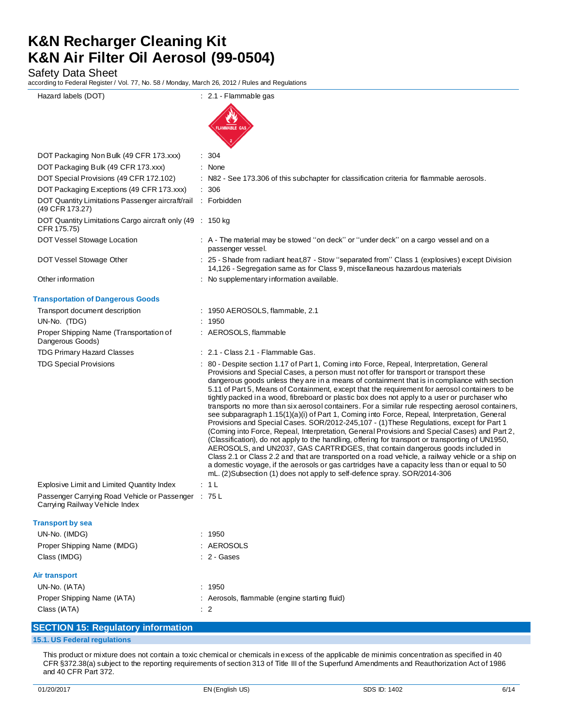Safety Data Sheet

according to Federal Register / Vol. 77, No. 58 / Monday, March 26, 2012 / Rules and Regulations

| Hazard labels (DOT)                                                            | : 2.1 - Flammable gas                                                                                                                                                                                                                                                                                                                                                                                                                                                                                                                                                                                                                                                                                                                                                                                                                                                                                                                                                                                                                                                                                                                                                                                                                                                                                                                                              |
|--------------------------------------------------------------------------------|--------------------------------------------------------------------------------------------------------------------------------------------------------------------------------------------------------------------------------------------------------------------------------------------------------------------------------------------------------------------------------------------------------------------------------------------------------------------------------------------------------------------------------------------------------------------------------------------------------------------------------------------------------------------------------------------------------------------------------------------------------------------------------------------------------------------------------------------------------------------------------------------------------------------------------------------------------------------------------------------------------------------------------------------------------------------------------------------------------------------------------------------------------------------------------------------------------------------------------------------------------------------------------------------------------------------------------------------------------------------|
|                                                                                | <b>FLAMMABLE GAS</b>                                                                                                                                                                                                                                                                                                                                                                                                                                                                                                                                                                                                                                                                                                                                                                                                                                                                                                                                                                                                                                                                                                                                                                                                                                                                                                                                               |
| DOT Packaging Non Bulk (49 CFR 173.xxx)                                        | 304                                                                                                                                                                                                                                                                                                                                                                                                                                                                                                                                                                                                                                                                                                                                                                                                                                                                                                                                                                                                                                                                                                                                                                                                                                                                                                                                                                |
| DOT Packaging Bulk (49 CFR 173.xxx)                                            | $:$ None                                                                                                                                                                                                                                                                                                                                                                                                                                                                                                                                                                                                                                                                                                                                                                                                                                                                                                                                                                                                                                                                                                                                                                                                                                                                                                                                                           |
| DOT Special Provisions (49 CFR 172.102)                                        | N82 - See 173.306 of this subchapter for classification criteria for flammable aerosols.                                                                                                                                                                                                                                                                                                                                                                                                                                                                                                                                                                                                                                                                                                                                                                                                                                                                                                                                                                                                                                                                                                                                                                                                                                                                           |
| DOT Packaging Exceptions (49 CFR 173.xxx)                                      | 306                                                                                                                                                                                                                                                                                                                                                                                                                                                                                                                                                                                                                                                                                                                                                                                                                                                                                                                                                                                                                                                                                                                                                                                                                                                                                                                                                                |
| DOT Quantity Limitations Passenger aircraft/rail<br>(49 CFR 173.27)            | : Forbidden                                                                                                                                                                                                                                                                                                                                                                                                                                                                                                                                                                                                                                                                                                                                                                                                                                                                                                                                                                                                                                                                                                                                                                                                                                                                                                                                                        |
| DOT Quantity Limitations Cargo aircraft only (49 : 150 kg)<br>CFR 175.75)      |                                                                                                                                                                                                                                                                                                                                                                                                                                                                                                                                                                                                                                                                                                                                                                                                                                                                                                                                                                                                                                                                                                                                                                                                                                                                                                                                                                    |
| DOT Vessel Stowage Location                                                    | : A - The material may be stowed "on deck" or "under deck" on a cargo vessel and on a<br>passenger vessel.                                                                                                                                                                                                                                                                                                                                                                                                                                                                                                                                                                                                                                                                                                                                                                                                                                                                                                                                                                                                                                                                                                                                                                                                                                                         |
| DOT Vessel Stowage Other                                                       | : 25 - Shade from radiant heat, 87 - Stow "separated from" Class 1 (explosives) except Division<br>14,126 - Segregation same as for Class 9, miscellaneous hazardous materials                                                                                                                                                                                                                                                                                                                                                                                                                                                                                                                                                                                                                                                                                                                                                                                                                                                                                                                                                                                                                                                                                                                                                                                     |
| Other information                                                              | : No supplementary information available.                                                                                                                                                                                                                                                                                                                                                                                                                                                                                                                                                                                                                                                                                                                                                                                                                                                                                                                                                                                                                                                                                                                                                                                                                                                                                                                          |
| <b>Transportation of Dangerous Goods</b>                                       |                                                                                                                                                                                                                                                                                                                                                                                                                                                                                                                                                                                                                                                                                                                                                                                                                                                                                                                                                                                                                                                                                                                                                                                                                                                                                                                                                                    |
| Transport document description                                                 | : 1950 AEROSOLS, flammable, 2.1                                                                                                                                                                                                                                                                                                                                                                                                                                                                                                                                                                                                                                                                                                                                                                                                                                                                                                                                                                                                                                                                                                                                                                                                                                                                                                                                    |
| UN-No. (TDG)                                                                   | 1950                                                                                                                                                                                                                                                                                                                                                                                                                                                                                                                                                                                                                                                                                                                                                                                                                                                                                                                                                                                                                                                                                                                                                                                                                                                                                                                                                               |
| Proper Shipping Name (Transportation of<br>Dangerous Goods)                    | : AEROSOLS, flammable                                                                                                                                                                                                                                                                                                                                                                                                                                                                                                                                                                                                                                                                                                                                                                                                                                                                                                                                                                                                                                                                                                                                                                                                                                                                                                                                              |
| <b>TDG Primary Hazard Classes</b>                                              | : 2.1 - Class 2.1 - Flammable Gas.                                                                                                                                                                                                                                                                                                                                                                                                                                                                                                                                                                                                                                                                                                                                                                                                                                                                                                                                                                                                                                                                                                                                                                                                                                                                                                                                 |
| <b>TDG Special Provisions</b>                                                  | : 80 - Despite section 1.17 of Part 1, Coming into Force, Repeal, Interpretation, General<br>Provisions and Special Cases, a person must not offer for transport or transport these<br>dangerous goods unless they are in a means of containment that is in compliance with section<br>5.11 of Part 5, Means of Containment, except that the requirement for aerosol containers to be<br>tightly packed in a wood, fibreboard or plastic box does not apply to a user or purchaser who<br>transports no more than six aerosol containers. For a similar rule respecting aerosol containers,<br>see subparagraph 1.15(1)(a)(i) of Part 1, Coming into Force, Repeal, Interpretation, General<br>Provisions and Special Cases. SOR/2012-245,107 - (1) These Regulations, except for Part 1<br>(Coming into Force, Repeal, Interpretation, General Provisions and Special Cases) and Part 2,<br>(Classification), do not apply to the handling, offering for transport or transporting of UN1950,<br>AEROSOLS, and UN2037, GAS CARTRIDGES, that contain dangerous goods included in<br>Class 2.1 or Class 2.2 and that are transported on a road vehicle, a railway vehicle or a ship on<br>a domestic voyage, if the aerosols or gas cartridges have a capacity less than or equal to 50<br>mL. (2)Subsection (1) does not apply to self-defence spray. SOR/2014-306 |
| Explosive Limit and Limited Quantity Index                                     | : 1 L                                                                                                                                                                                                                                                                                                                                                                                                                                                                                                                                                                                                                                                                                                                                                                                                                                                                                                                                                                                                                                                                                                                                                                                                                                                                                                                                                              |
| Passenger Carrying Road Vehicle or Passenger<br>Carrying Railway Vehicle Index | ∴ 75 L                                                                                                                                                                                                                                                                                                                                                                                                                                                                                                                                                                                                                                                                                                                                                                                                                                                                                                                                                                                                                                                                                                                                                                                                                                                                                                                                                             |
| <b>Transport by sea</b>                                                        |                                                                                                                                                                                                                                                                                                                                                                                                                                                                                                                                                                                                                                                                                                                                                                                                                                                                                                                                                                                                                                                                                                                                                                                                                                                                                                                                                                    |
| UN-No. (IMDG)                                                                  | : 1950                                                                                                                                                                                                                                                                                                                                                                                                                                                                                                                                                                                                                                                                                                                                                                                                                                                                                                                                                                                                                                                                                                                                                                                                                                                                                                                                                             |
| Proper Shipping Name (IMDG)                                                    | : AEROSOLS                                                                                                                                                                                                                                                                                                                                                                                                                                                                                                                                                                                                                                                                                                                                                                                                                                                                                                                                                                                                                                                                                                                                                                                                                                                                                                                                                         |
| Class (IMDG)                                                                   | : 2 - Gases                                                                                                                                                                                                                                                                                                                                                                                                                                                                                                                                                                                                                                                                                                                                                                                                                                                                                                                                                                                                                                                                                                                                                                                                                                                                                                                                                        |
| Air transport<br>UN-No. (IATA)<br>Proper Shipping Name (IATA)<br>Class (IATA)  | : 1950<br>: Aerosols, flammable (engine starting fluid)<br>$\therefore$ 2                                                                                                                                                                                                                                                                                                                                                                                                                                                                                                                                                                                                                                                                                                                                                                                                                                                                                                                                                                                                                                                                                                                                                                                                                                                                                          |
|                                                                                |                                                                                                                                                                                                                                                                                                                                                                                                                                                                                                                                                                                                                                                                                                                                                                                                                                                                                                                                                                                                                                                                                                                                                                                                                                                                                                                                                                    |

# **SECTION 15: Regulatory information**

### **15.1. US Federal regulations**

This product or mixture does not contain a toxic chemical or chemicals in excess of the applicable de minimis concentration as specified in 40 CFR §372.38(a) subject to the reporting requirements of section 313 of Title III of the Superfund Amendments and Reauthorization Act of 1986 and 40 CFR Part 372.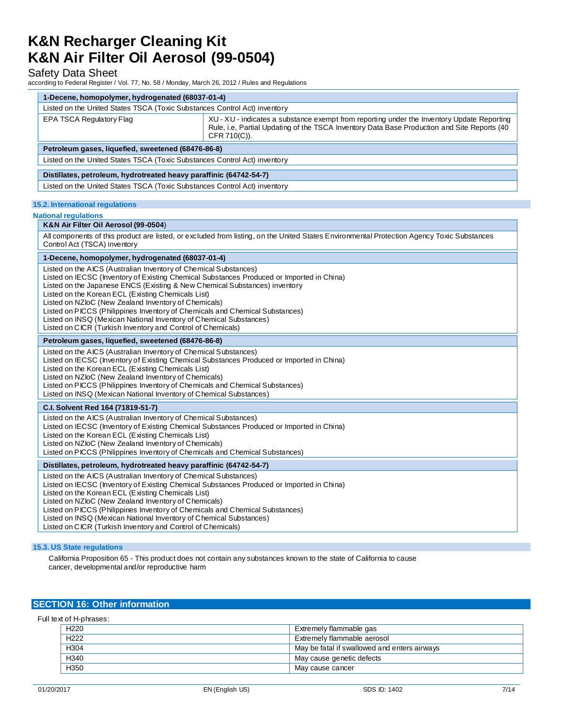# Safety Data Sheet

according to Federal Register / Vol. 77, No. 58 / Monday, March 26, 2012 / Rules and Regulations

| 1-Decene, homopolymer, hydrogenated (68037-01-4)                                                                                                                                                                                                                                                                                                                                                                                                                                                                                                                               |                                                                                                                                                                                                           |  |
|--------------------------------------------------------------------------------------------------------------------------------------------------------------------------------------------------------------------------------------------------------------------------------------------------------------------------------------------------------------------------------------------------------------------------------------------------------------------------------------------------------------------------------------------------------------------------------|-----------------------------------------------------------------------------------------------------------------------------------------------------------------------------------------------------------|--|
| Listed on the United States TSCA (Toxic Substances Control Act) inventory                                                                                                                                                                                                                                                                                                                                                                                                                                                                                                      |                                                                                                                                                                                                           |  |
| <b>EPA TSCA Regulatory Flag</b>                                                                                                                                                                                                                                                                                                                                                                                                                                                                                                                                                | XU - XU - indicates a substance exempt from reporting under the Inventory Update Reporting<br>Rule, i.e, Partial Updating of the TSCA Inventory Data Base Production and Site Reports (40<br>CFR 710(C)). |  |
| Petroleum gases, liquefied, sweetened (68476-86-8)                                                                                                                                                                                                                                                                                                                                                                                                                                                                                                                             |                                                                                                                                                                                                           |  |
| Listed on the United States TSCA (Toxic Substances Control Act) inventory                                                                                                                                                                                                                                                                                                                                                                                                                                                                                                      |                                                                                                                                                                                                           |  |
| Distillates, petroleum, hydrotreated heavy paraffinic (64742-54-7)                                                                                                                                                                                                                                                                                                                                                                                                                                                                                                             |                                                                                                                                                                                                           |  |
| Listed on the United States TSCA (Toxic Substances Control Act) inventory                                                                                                                                                                                                                                                                                                                                                                                                                                                                                                      |                                                                                                                                                                                                           |  |
|                                                                                                                                                                                                                                                                                                                                                                                                                                                                                                                                                                                |                                                                                                                                                                                                           |  |
| <b>15.2. International regulations</b>                                                                                                                                                                                                                                                                                                                                                                                                                                                                                                                                         |                                                                                                                                                                                                           |  |
| <b>National regulations</b>                                                                                                                                                                                                                                                                                                                                                                                                                                                                                                                                                    |                                                                                                                                                                                                           |  |
| K&N Air Filter Oil Aerosol (99-0504)                                                                                                                                                                                                                                                                                                                                                                                                                                                                                                                                           |                                                                                                                                                                                                           |  |
| All components of this product are listed, or excluded from listing, on the United States Environmental Protection Agency Toxic Substances<br>Control Act (TSCA) inventory                                                                                                                                                                                                                                                                                                                                                                                                     |                                                                                                                                                                                                           |  |
| 1-Decene, homopolymer, hydrogenated (68037-01-4)                                                                                                                                                                                                                                                                                                                                                                                                                                                                                                                               |                                                                                                                                                                                                           |  |
| Listed on the AICS (Australian Inventory of Chemical Substances)<br>Listed on IECSC (Inventory of Existing Chemical Substances Produced or Imported in China)<br>Listed on the Japanese ENCS (Existing & New Chemical Substances) inventory<br>Listed on the Korean ECL (Existing Chemicals List)<br>Listed on NZloC (New Zealand Inventory of Chemicals)<br>Listed on PICCS (Philippines Inventory of Chemicals and Chemical Substances)<br>Listed on INSQ (Mexican National Inventory of Chemical Substances)<br>Listed on CICR (Turkish Inventory and Control of Chemicals) |                                                                                                                                                                                                           |  |
| Petroleum gases, liquefied, sweetened (68476-86-8)                                                                                                                                                                                                                                                                                                                                                                                                                                                                                                                             |                                                                                                                                                                                                           |  |
| Listed on the AICS (Australian Inventory of Chemical Substances)<br>Listed on IECSC (Inventory of Existing Chemical Substances Produced or Imported in China)<br>Listed on the Korean ECL (Existing Chemicals List)<br>Listed on NZloC (New Zealand Inventory of Chemicals)<br>Listed on PICCS (Philippines Inventory of Chemicals and Chemical Substances)<br>Listed on INSQ (Mexican National Inventory of Chemical Substances)                                                                                                                                              |                                                                                                                                                                                                           |  |
| <b>C.I. Solvent Red 164 (71819-51-7)</b>                                                                                                                                                                                                                                                                                                                                                                                                                                                                                                                                       |                                                                                                                                                                                                           |  |
| Listed on the AICS (Australian Inventory of Chemical Substances)<br>Listed on IECSC (Inventory of Existing Chemical Substances Produced or Imported in China)<br>Listed on the Korean ECL (Existing Chemicals List)<br>Listed on NZloC (New Zealand Inventory of Chemicals)<br>Listed on PICCS (Philippines Inventory of Chemicals and Chemical Substances)                                                                                                                                                                                                                    |                                                                                                                                                                                                           |  |
| Distillates, petroleum, hydrotreated heavy paraffinic (64742-54-7)                                                                                                                                                                                                                                                                                                                                                                                                                                                                                                             |                                                                                                                                                                                                           |  |
| Listed on the AICS (Australian Inventory of Chemical Substances)<br>Listed on IECSC (Inventory of Existing Chemical Substances Produced or Imported in China)<br>Listed on the Korean ECL (Existing Chemicals List)<br>Listed on NZloC (New Zealand Inventory of Chemicals)<br>Listed on PICCS (Philippines Inventory of Chemicals and Chemical Substances)<br>Listed on INSQ (Mexican National Inventory of Chemical Substances)<br>Listed on CICR (Turkish Inventory and Control of Chemicals)                                                                               |                                                                                                                                                                                                           |  |

## **15.3. US State regulations**

California Proposition 65 - This product does not contain any substances known to the state of California to cause cancer, developmental and/or reproductive harm

### **SECTION 16: Other information**

| Full text of H-phrases: |                                              |
|-------------------------|----------------------------------------------|
| H <sub>220</sub>        | Extremely flammable gas                      |
| H <sub>222</sub>        | Extremely flammable aerosol                  |
| H <sub>304</sub>        | May be fatal if swallowed and enters airways |
| H340                    | May cause genetic defects                    |
| H <sub>350</sub>        | May cause cancer                             |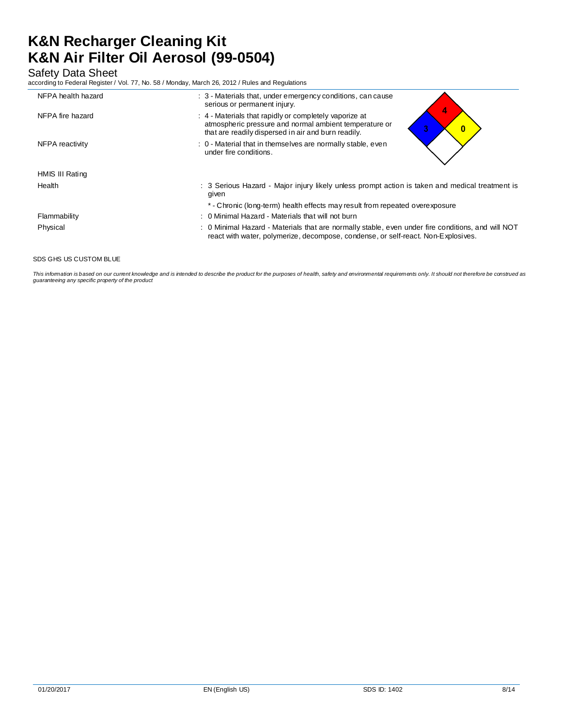Safety Data Sheet

according to Federal Register / Vol. 77, No. 58 / Monday, March 26, 2012 / Rules and Regulations

| NFPA health hazard | : 3 - Materials that, under emergency conditions, can cause<br>serious or permanent injury.                                                                                            |
|--------------------|----------------------------------------------------------------------------------------------------------------------------------------------------------------------------------------|
| NFPA fire hazard   | : 4 - Materials that rapidly or completely vaporize at<br>atmospheric pressure and normal ambient temperature or<br>3.<br>0<br>that are readily dispersed in air and burn readily.     |
| NFPA reactivity    | : 0 - Material that in themselves are normally stable, even<br>under fire conditions.                                                                                                  |
| HMIS III Rating    |                                                                                                                                                                                        |
| Health             | : 3 Serious Hazard - Major injury likely unless prompt action is taken and medical treatment is<br>given                                                                               |
|                    | * - Chronic (long-term) health effects may result from repeated overexposure                                                                                                           |
| Flammability       | : 0 Minimal Hazard - Materials that will not burn                                                                                                                                      |
| Physical           | : 0 Minimal Hazard - Materials that are normally stable, even under fire conditions, and will NOT<br>react with water, polymerize, decompose, condense, or self-react. Non-Explosives. |
|                    |                                                                                                                                                                                        |

SDS GHS US CUSTOM BLUE

This information is based on our current knowledge and is intended to describe the product for the purposes of health, safety and environmental requirements only. It should not therefore be construed as *guaranteeing any specific property of the product*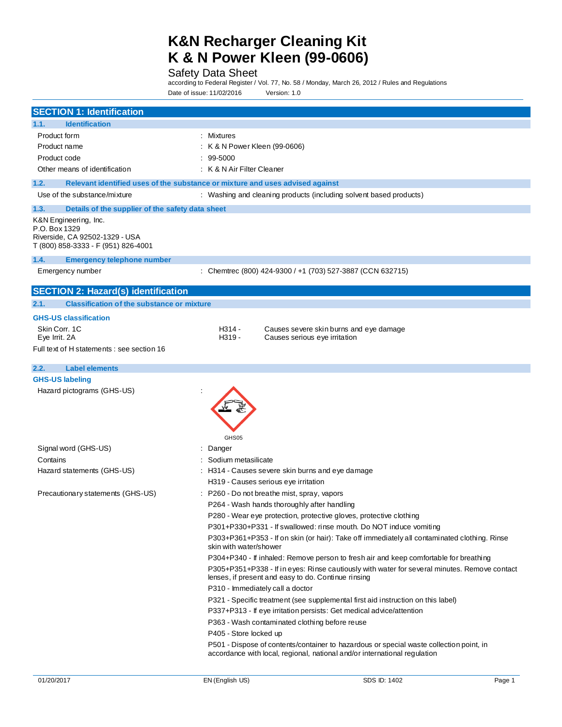Safety Data Sheet

according to Federal Register / Vol. 77, No. 58 / Monday, March 26, 2012 / Rules and Regulations

Date of issue: 11/02/2016 Version: 1.0

| <b>SECTION 1: Identification</b>                                                                                |                                                                                                                                                          |  |
|-----------------------------------------------------------------------------------------------------------------|----------------------------------------------------------------------------------------------------------------------------------------------------------|--|
| 1.1.<br><b>Identification</b>                                                                                   |                                                                                                                                                          |  |
| Product form<br>: Mixtures                                                                                      |                                                                                                                                                          |  |
| : K & N Power Kleen (99-0606)<br>Product name                                                                   |                                                                                                                                                          |  |
| Product code<br>$: 99-5000$                                                                                     |                                                                                                                                                          |  |
| Other means of identification<br>: K & N Air Filter Cleaner                                                     |                                                                                                                                                          |  |
| 1.2.                                                                                                            | Relevant identified uses of the substance or mixture and uses advised against                                                                            |  |
| Use of the substance/mixture                                                                                    | : Washing and cleaning products (including solvent based products)                                                                                       |  |
| Details of the supplier of the safety data sheet<br>1.3.                                                        |                                                                                                                                                          |  |
| K&N Engineering, Inc.<br>P.O. Box 1329<br>Riverside, CA 92502-1329 - USA<br>T (800) 858-3333 - F (951) 826-4001 |                                                                                                                                                          |  |
| 1.4.<br><b>Emergency telephone number</b>                                                                       |                                                                                                                                                          |  |
| Emergency number                                                                                                | : Chemtrec (800) 424-9300 / +1 (703) 527-3887 (CCN 632715)                                                                                               |  |
|                                                                                                                 |                                                                                                                                                          |  |
| <b>SECTION 2: Hazard(s) identification</b>                                                                      |                                                                                                                                                          |  |
| 2.1.<br><b>Classification of the substance or mixture</b>                                                       |                                                                                                                                                          |  |
| <b>GHS-US classification</b>                                                                                    |                                                                                                                                                          |  |
| Skin Corr. 1C<br>Eye Irrit. 2A                                                                                  | H314 -<br>Causes severe skin burns and eye damage<br>H319 -<br>Causes serious eye irritation                                                             |  |
| Full text of H statements: see section 16                                                                       |                                                                                                                                                          |  |
|                                                                                                                 |                                                                                                                                                          |  |
| 2.2.<br><b>Label elements</b><br><b>GHS-US labeling</b>                                                         |                                                                                                                                                          |  |
| Hazard pictograms (GHS-US)                                                                                      | GHS05                                                                                                                                                    |  |
| Signal word (GHS-US)                                                                                            | : Danger                                                                                                                                                 |  |
| Contains                                                                                                        | Sodium metasilicate                                                                                                                                      |  |
| Hazard statements (GHS-US)                                                                                      | : H314 - Causes severe skin burns and eye damage<br>H319 - Causes serious eye irritation                                                                 |  |
| Precautionary statements (GHS-US)                                                                               | : P260 - Do not breathe mist, spray, vapors                                                                                                              |  |
|                                                                                                                 | P264 - Wash hands thoroughly after handling                                                                                                              |  |
|                                                                                                                 | P280 - Wear eye protection, protective gloves, protective clothing                                                                                       |  |
|                                                                                                                 | P301+P330+P331 - If swallowed: rinse mouth. Do NOT induce vomiting                                                                                       |  |
|                                                                                                                 | P303+P361+P353 - If on skin (or hair): Take off immediately all contaminated clothing. Rinse<br>skin with water/shower                                   |  |
|                                                                                                                 | P304+P340 - If inhaled: Remove person to fresh air and keep comfortable for breathing                                                                    |  |
|                                                                                                                 | P305+P351+P338 - If in eyes: Rinse cautiously with water for several minutes. Remove contact<br>lenses, if present and easy to do. Continue rinsing      |  |
| P310 - Immediately call a doctor                                                                                |                                                                                                                                                          |  |
|                                                                                                                 | P321 - Specific treatment (see supplemental first aid instruction on this label)<br>P337+P313 - If eye irritation persists: Get medical advice/attention |  |
|                                                                                                                 | P363 - Wash contaminated clothing before reuse                                                                                                           |  |
|                                                                                                                 | P405 - Store locked up                                                                                                                                   |  |
|                                                                                                                 | P501 - Dispose of contents/container to hazardous or special waste collection point, in                                                                  |  |
|                                                                                                                 | accordance with local, regional, national and/or international regulation                                                                                |  |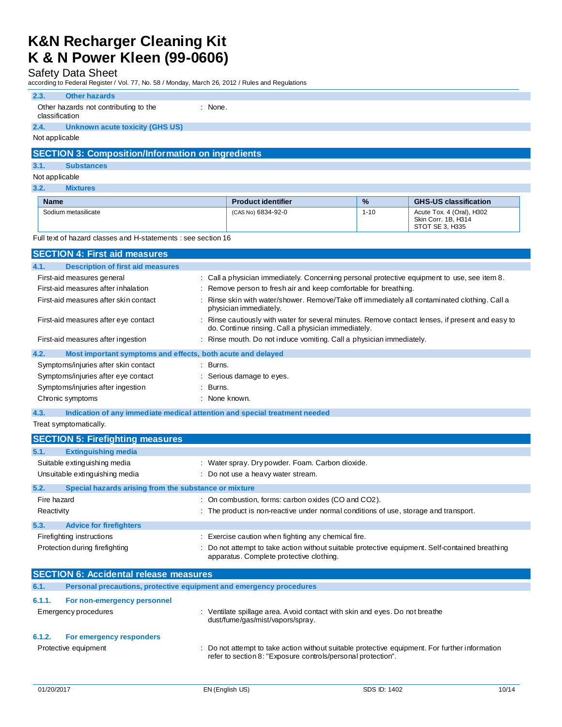# Safety Data Sheet

according to Federal Register / Vol. 77, No. 58 / Monday, March 26, 2012 / Rules and Regulations

### **2.3. Other hazards**

| Other hazards not contributing to the | $:$ None. |
|---------------------------------------|-----------|

# classification

# **2.4. Unknown acute toxicity (GHS US)**

Not applicable

## **SECTION 3: Composition/Information on ingredients**

### **3.1. Substances**

### Not applicable

**3.2. Mixtures**

| <b>Name</b>         | <b>Product identifier</b> | $\frac{9}{6}$ | <b>GHS-US classification</b>                                        |
|---------------------|---------------------------|---------------|---------------------------------------------------------------------|
| Sodium metasilicate | (CAS No) 6834-92-0        | $1 - 10$      | Acute Tox. 4 (Oral), H302<br>Skin Corr. 1B. H314<br>STOT SE 3. H335 |

Full text of hazard classes and H-statements : see section 16

| <b>SECTION 4: First aid measures</b>                                |                                                                                                                                                       |
|---------------------------------------------------------------------|-------------------------------------------------------------------------------------------------------------------------------------------------------|
| <b>Description of first aid measures</b><br>4.1.                    |                                                                                                                                                       |
| First-aid measures general                                          | : Call a physician immediately. Concerning personal protective equipment to use, see item 8.                                                          |
| First-aid measures after inhalation                                 | : Remove person to fresh air and keep comfortable for breathing.                                                                                      |
| First-aid measures after skin contact                               | Rinse skin with water/shower. Remove/Take off immediately all contaminated clothing. Call a<br>physician immediately.                                 |
| First-aid measures after eye contact                                | Rinse cautiously with water for several minutes. Remove contact lenses, if present and easy to<br>do. Continue rinsing. Call a physician immediately. |
| First-aid measures after ingestion                                  | : Rinse mouth. Do not induce vomiting. Call a physician immediately.                                                                                  |
| 4.2.<br>Most important symptoms and effects, both acute and delayed |                                                                                                                                                       |
| Symptoms/injuries after skin contact                                | $\therefore$ Burns.                                                                                                                                   |
| Symptoms/injuries after eye contact                                 | : Serious damage to eyes.                                                                                                                             |
| Symptoms/injuries after ingestion                                   | : Burns.                                                                                                                                              |
| Chronic symptoms                                                    | : None known.                                                                                                                                         |

**4.3. Indication of any immediate medical attention and special treatment needed**

Treat symptomatically.

| <b>SECTION 5: Firefighting measures</b>       |                                                                                                                                             |  |  |
|-----------------------------------------------|---------------------------------------------------------------------------------------------------------------------------------------------|--|--|
| 5.1.<br><b>Extinguishing media</b>            |                                                                                                                                             |  |  |
| Suitable extinguishing media                  | : Water spray. Dry powder. Foam. Carbon dioxide.                                                                                            |  |  |
| Unsuitable extinguishing media                | : Do not use a heavy water stream.                                                                                                          |  |  |
| 5.2.                                          | Special hazards arising from the substance or mixture                                                                                       |  |  |
| Fire hazard                                   | : On combustion, forms: carbon oxides (CO and CO2).                                                                                         |  |  |
| Reactivity                                    | : The product is non-reactive under normal conditions of use, storage and transport.                                                        |  |  |
| 5.3.<br><b>Advice for firefighters</b>        |                                                                                                                                             |  |  |
| Firefighting instructions                     | : Exercise caution when fighting any chemical fire.                                                                                         |  |  |
| Protection during firefighting                | : Do not attempt to take action without suitable protective equipment. Self-contained breathing<br>apparatus. Complete protective clothing. |  |  |
| <b>SECTION 6: Accidental release measures</b> |                                                                                                                                             |  |  |
| 6.1.                                          | Personal precautions, protective equipment and emergency procedures                                                                         |  |  |
| 6.1.1.<br>For non-emergency personnel         |                                                                                                                                             |  |  |
| Emergency procedures                          | : Ventilate spillage area. A void contact with skin and eyes. Do not breathe<br>dust/fume/gas/mist/vapors/spray.                            |  |  |
| 6.1.2.<br>For emergency responders            |                                                                                                                                             |  |  |
| Protective equipment                          | : Do not attempt to take action without suitable protective equipment. For further information                                              |  |  |

refer to section 8: "Exposure controls/personal protection".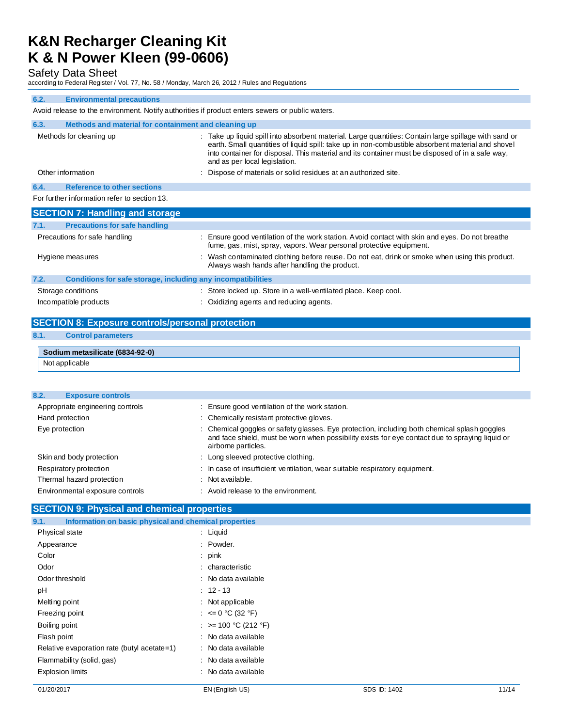Safety Data Sheet

according to Federal Register / Vol. 77, No. 58 / Monday, March 26, 2012 / Rules and Regulations

#### **6.2. Environmental precautions**

Avoid release to the environment. Notify authorities if product enters sewers or public waters.

| 6.3. | Methods and material for containment and cleaning up                |                                                                                                                                                                                                                                                                                                                                                |
|------|---------------------------------------------------------------------|------------------------------------------------------------------------------------------------------------------------------------------------------------------------------------------------------------------------------------------------------------------------------------------------------------------------------------------------|
|      | Methods for cleaning up                                             | : Take up liquid spill into absorbent material. Large quantities: Contain large spillage with sand or<br>earth. Small quantities of liquid spill: take up in non-combustible absorbent material and shovel<br>into container for disposal. This material and its container must be disposed of in a safe way,<br>and as per local legislation. |
|      | Other information                                                   | Dispose of materials or solid residues at an authorized site.                                                                                                                                                                                                                                                                                  |
| 6.4. | <b>Reference to other sections</b>                                  |                                                                                                                                                                                                                                                                                                                                                |
|      | For further information refer to section 13.                        |                                                                                                                                                                                                                                                                                                                                                |
|      | <b>SECTION 7: Handling and storage</b>                              |                                                                                                                                                                                                                                                                                                                                                |
| 7.1. | <b>Precautions for safe handling</b>                                |                                                                                                                                                                                                                                                                                                                                                |
|      | Precautions for safe handling                                       | : Ensure good ventilation of the work station. Avoid contact with skin and eyes. Do not breathe<br>fume, gas, mist, spray, vapors. Wear personal protective equipment.                                                                                                                                                                         |
|      | Hygiene measures                                                    | Wash contaminated clothing before reuse. Do not eat, drink or smoke when using this product.<br>Always wash hands after handling the product.                                                                                                                                                                                                  |
| 7.2. | <b>Conditions for safe storage, including any incompatibilities</b> |                                                                                                                                                                                                                                                                                                                                                |
|      | Storage conditions                                                  | : Store locked up. Store in a well-ventilated place. Keep cool.                                                                                                                                                                                                                                                                                |
|      | Incompatible products                                               | : Oxidizing agents and reducing agents.                                                                                                                                                                                                                                                                                                        |

## **SECTION 8: Exposure controls/personal protection 8.1. Control parameters**

| Sodium metasilicate (6834-92-0) |  |  |
|---------------------------------|--|--|
|                                 |  |  |

Not applicable

| <b>Exposure controls</b><br>8.2. |                                                                                                                                                                                                                        |
|----------------------------------|------------------------------------------------------------------------------------------------------------------------------------------------------------------------------------------------------------------------|
| Appropriate engineering controls | : Ensure good ventilation of the work station.                                                                                                                                                                         |
| Hand protection                  | : Chemically resistant protective gloves.                                                                                                                                                                              |
| Eye protection                   | : Chemical goggles or safety glasses. Eye protection, including both chemical splash goggles<br>and face shield, must be worn when possibility exists for eye contact due to spraying liquid or<br>airborne particles. |
| Skin and body protection         | : Long sleeved protective clothing.                                                                                                                                                                                    |
| Respiratory protection           | : In case of insufficient ventilation, wear suitable respiratory equipment.                                                                                                                                            |
| Thermal hazard protection        | $:$ Not available.                                                                                                                                                                                                     |
| Environmental exposure controls  | : Avoid release to the environment.                                                                                                                                                                                    |
|                                  |                                                                                                                                                                                                                        |

## **SECTION 9: Physical and chemical properties**

| Information on basic physical and chemical properties<br>9.1. |                         |
|---------------------------------------------------------------|-------------------------|
| Physical state                                                | $:$ Liquid              |
| Appearance                                                    | : Powder.               |
| Color                                                         | : $pink$                |
| Odor                                                          | : characteristic        |
| Odor threshold                                                | : No data available     |
| pH                                                            | $: 12 - 13$             |
| Melting point                                                 | $:$ Not applicable      |
| Freezing point                                                | : $\leq 0$ °C (32 °F)   |
| Boiling point                                                 | : $> = 100$ °C (212 °F) |
| Flash point                                                   | : No data available     |
| Relative evaporation rate (butyl acetate=1)                   | : No data available     |
| Flammability (solid, gas)                                     | : No data available     |
| <b>Explosion limits</b>                                       | : No data available     |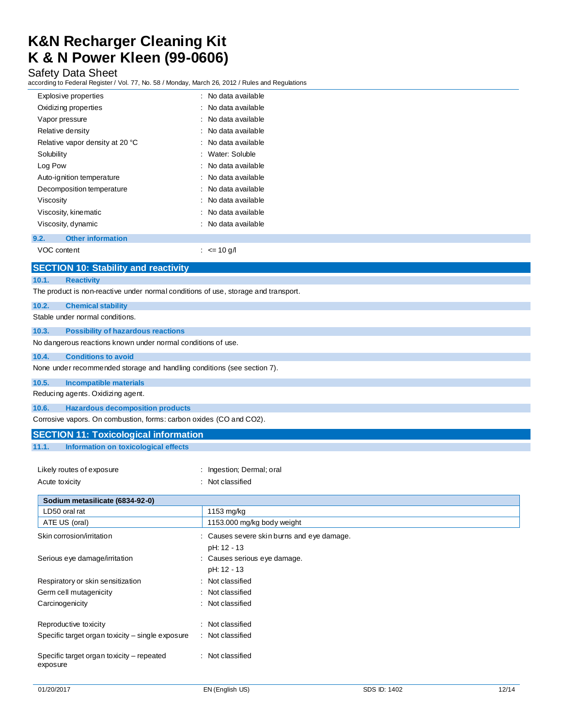## Safety Data Sheet

according to Federal Register / Vol. 77, No. 58 / Monday, March 26, 2012 / Rules and Regulations

| ccording to Federal Register / Vol. 77, No. 58 / Monday, March 26, 2012 / Rules and Regulations |                         |  |
|-------------------------------------------------------------------------------------------------|-------------------------|--|
| Explosive properties                                                                            | No data available       |  |
| Oxidizing properties                                                                            | No data available       |  |
| Vapor pressure                                                                                  | No data available       |  |
| Relative density                                                                                | No data available       |  |
| Relative vapor density at 20 °C                                                                 | No data available       |  |
| Solubility                                                                                      | Water: Soluble          |  |
| Log Pow                                                                                         | No data available       |  |
| Auto-ignition temperature                                                                       | No data available       |  |
| Decomposition temperature                                                                       | No data available       |  |
| Viscosity                                                                                       | No data available       |  |
| Viscosity, kinematic                                                                            | No data available       |  |
| Viscosity, dynamic                                                                              | No data available       |  |
| <b>Other information</b><br>9.2.                                                                |                         |  |
| VOC content                                                                                     | : $\leq 10 \text{ g/h}$ |  |
| <b>SECTION 10: Stability and reactivity</b>                                                     |                         |  |
| 10.1.<br><b>Reactivity</b>                                                                      |                         |  |
| The product is non-reactive under normal conditions of use, storage and transport.              |                         |  |
| 10.2.<br><b>Chemical stability</b>                                                              |                         |  |
| Stable under normal conditions.                                                                 |                         |  |
| 10.3.<br><b>Possibility of hazardous reactions</b>                                              |                         |  |
| No dangerous reactions known under normal conditions of use.                                    |                         |  |
| 10.4.<br><b>Conditions to avoid</b>                                                             |                         |  |
| None under recommended storage and handling conditions (see section 7).                         |                         |  |
| 10.5.<br><b>Incompatible materials</b>                                                          |                         |  |
| Reducing agents. Oxidizing agent.                                                               |                         |  |
| 10.6.<br><b>Hazardous decomposition products</b>                                                |                         |  |
| Corrosive vapors. On combustion, forms: carbon oxides (CO and CO2).                             |                         |  |
| <b>SECTION 11: Toxicological information</b>                                                    |                         |  |
| 11.1.<br>Information on toxicological effects                                                   |                         |  |
|                                                                                                 |                         |  |

| Likely routes of exposure | : Ingestion: Dermal: oral |
|---------------------------|---------------------------|
| Acute toxicity            | : Not classified          |

| Sodium metasilicate (6834-92-0)                       |                                                           |
|-------------------------------------------------------|-----------------------------------------------------------|
| LD50 oral rat                                         | 1153 mg/kg                                                |
| ATE US (oral)                                         | 1153.000 mg/kg body weight                                |
| Skin corrosion/irritation                             | : Causes severe skin burns and eye damage.<br>pH: 12 - 13 |
| Serious eye damage/irritation                         | : Causes serious eye damage.<br>pH: 12 - 13               |
| Respiratory or skin sensitization                     | : Not classified                                          |
| Germ cell mutagenicity                                | : Not classified                                          |
| Carcinogenicity                                       | : Not classified                                          |
| Reproductive toxicity                                 | Not classified                                            |
| Specific target organ toxicity – single exposure      | : Not classified                                          |
| Specific target organ toxicity – repeated<br>exposure | : Not classified                                          |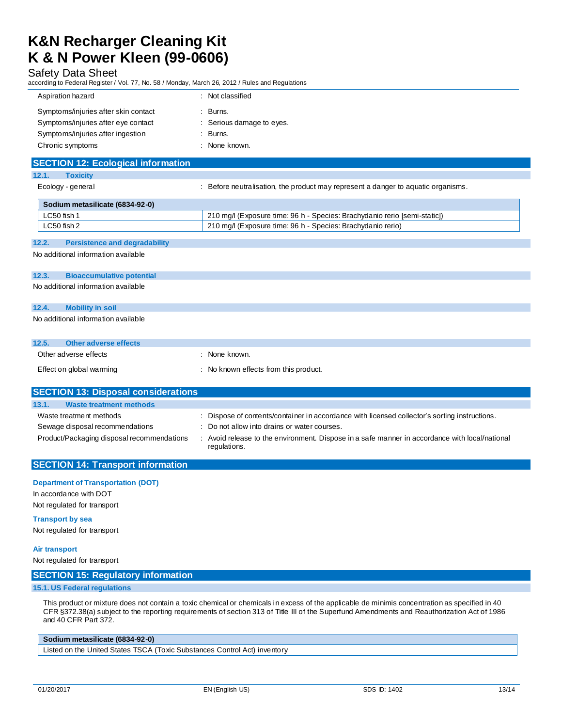### Safety Data Sheet

according to Federal Register / Vol. 77, No. 58 / Monday, March 26, 2012 / Rules and Regulations

| Aspiration hazard                    | Not classified            |
|--------------------------------------|---------------------------|
| Symptoms/injuries after skin contact | Burns.                    |
| Symptoms/injuries after eye contact  | : Serious damage to eyes. |
| Symptoms/injuries after ingestion    | Burns.                    |
| Chronic symptoms                     | None known.               |

# **SECTION 12: Ecological information**

| 12.1. | <b>Toxicity</b> |
|-------|-----------------|
|       |                 |

Ecology - general **interpretation** : Before neutralisation, the product may represent a danger to aquatic organisms.

| Sodium metasilicate (6834-92-0) |                                                                           |
|---------------------------------|---------------------------------------------------------------------------|
| $LC50$ fish 1                   | 210 mg/l (Exposure time: 96 h - Species: Brachydanio rerio [semi-static]) |
| LC50 fish 2                     | 210 mg/l (Exposure time: 96 h - Species: Brachydanio rerio)               |

### **12.2. Persistence and degradability**

No additional information available

#### **12.3. Bioaccumulative potential**

No additional information available

# **12.4. Mobility in soil** No additional information available

| 12.5.<br>Other adverse effects |                                     |
|--------------------------------|-------------------------------------|
| Other adverse effects          | None known.                         |
| Effect on global warming       | No known effects from this product. |

## **SECTION 13: Disposal considerations 13.1. Waste treatment methods** Waste treatment methods : Dispose of contents/container in accordance with licensed collector's sorting instructions. Sewage disposal recommendations : Do not allow into drains or water courses. Product/Packaging disposal recommendations : Avoid release to the environment. Dispose in a safe manner in accordance with local/national regulations.

# **SECTION 14: Transport information**

### **Department of Transportation (DOT)**

In accordance with DOT Not regulated for transport

### **Transport by sea**

Not regulated for transport

### **Air transport**

Not regulated for transport

### **SECTION 15: Regulatory information**

### **15.1. US Federal regulations**

This product or mixture does not contain a toxic chemical or chemicals in excess of the applicable de minimis concentration as specified in 40 CFR §372.38(a) subject to the reporting requirements of section 313 of Title III of the Superfund Amendments and Reauthorization Act of 1986 and 40 CFR Part 372.

### **Sodium metasilicate (6834-92-0)**

Listed on the United States TSCA (Toxic Substances Control Act) inventory